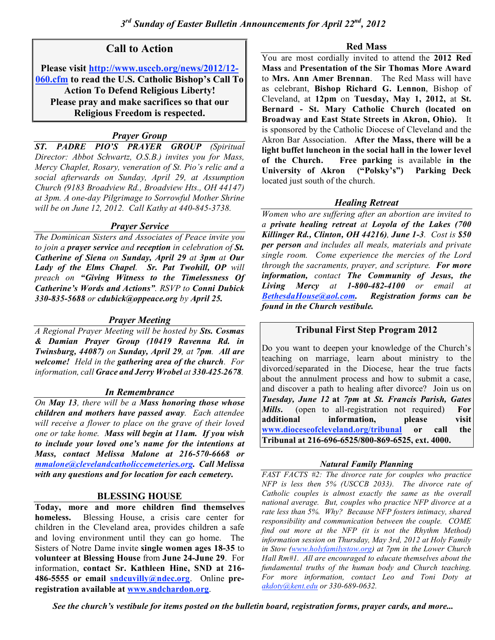# **Call to Action**

**Please visit http://www.usccb.org/news/2012/12- 060.cfm to read the U.S. Catholic Bishop's Call To Action To Defend Religious Liberty! Please pray and make sacrifices so that our Religious Freedom is respected.**

# *Prayer Group*

*ST. PADRE PIO'S PRAYER GROUP (Spiritual Director: Abbot Schwartz, O.S.B.) invites you for Mass, Mercy Chaplet, Rosary, veneration of St. Pio's relic and a social afterwards on Sunday, April 29, at Assumption Church (9183 Broadview Rd., Broadview Hts., OH 44147) at 3pm. A one-day Pilgrimage to Sorrowful Mother Shrine will be on June 12, 2012. Call Kathy at 440-845-3738.*

### *Prayer Service*

*The Dominican Sisters and Associates of Peace invite you to join a prayer service and reception in celebration of St. Catherine of Siena on Sunday, April 29 at 3pm at Our Lady of the Elms Chapel. Sr. Pat Twohill, OP will preach on "Giving Witness to the Timelessness Of Catherine's Words and Actions". RSVP to Conni Dubick 330-835-5688 or cdubick@oppeace.org by April 25.*

### *Prayer Meeting*

*A Regional Prayer Meeting will be hosted by Sts. Cosmas & Damian Prayer Group (10419 Ravenna Rd. in Twinsburg, 44087) on Sunday, April 29, at 7pm. All are welcome! Held in the gathering area of the church. For information, call Grace and Jerry Wrobel at 330-425-2678.*

### *In Remembrance*

*On May 13, there will be a Mass honoring those whose children and mothers have passed away. Each attendee will receive a flower to place on the grave of their loved one or take home. Mass will begin at 11am. If you wish to include your loved one's name for the intentions at Mass, contact Melissa Malone at 216-570-6668 or mmalone@clevelandcatholiccemeteries.org. Call Melissa with any questions and for location for each cemetery.*

### **BLESSING HOUSE**

**Today, more and more children find themselves homeless.** Blessing House, a crisis care center for children in the Cleveland area, provides children a safe and loving environment until they can go home. The Sisters of Notre Dame invite **single women ages 18-35** to **volunteer at Blessing House** from **June 24-June 29**. For information, **contact Sr. Kathleen Hine, SND at 216- 486-5555 or email sndcuvilly@ndec.org**. Online **preregistration available at www.sndchardon.org**.

#### **Red Mass**

You are most cordially invited to attend the **2012 Red Mass** and **Presentation of the Sir Thomas More Award** to **Mrs. Ann Amer Brennan**. The Red Mass will have as celebrant, **Bishop Richard G. Lennon**, Bishop of Cleveland, at **12pm** on **Tuesday, May 1, 2012,** at **St. Bernard - St. Mary Catholic Church (located on Broadway and East State Streets in Akron, Ohio).** It is sponsored by the Catholic Diocese of Cleveland and the Akron Bar Association. **After the Mass, there will be a light buffet luncheon in the social hall in the lower level of the Church. Free parking** is available **in the University of Akron ("Polsky's") Parking Deck** located just south of the church.

# *Healing Retreat*

*Women who are suffering after an abortion are invited to a private healing retreat at Loyola of the Lakes (700 Killinger Rd., Clinton, OH 44216), June 1-3. Cost is \$50 per person and includes all meals, materials and private single room. Come experience the mercies of the Lord through the sacraments, prayer, and scripture. For more information, contact The Community of Jesus, the Living Mercy at 1-800-482-4100 or email at BethesdaHouse@aol.com. Registration forms can be found in the Church vestibule.*

### **Tribunal First Step Program 2012**

Do you want to deepen your knowledge of the Church's teaching on marriage, learn about ministry to the divorced/separated in the Diocese, hear the true facts about the annulment process and how to submit a case, and discover a path to healing after divorce? Join us on *Tuesday, June 12* **at** *7pm* **at** *St. Francis Parish, Gates Mills***.** (open to all-registration not required) **For additional information, please visit www.dioceseofcleveland.org/tribunal or call the Tribunal at 216-696-6525/800-869-6525, ext. 4000.**

### *Natural Family Planning*

*FAST FACTS #2: The divorce rate for couples who practice NFP is less then 5% (USCCB 2033). The divorce rate of Catholic couples is almost exactly the same as the overall national average. But, couples who practice NFP divorce at a rate less than 5%. Why? Because NFP fosters intimacy, shared responsibility and communication between the couple. COME find out more at the NFP (it is not the Rhythm Method) information session on Thursday, May 3rd, 2012 at Holy Family in Stow (www.holyfamilystow.org) at 7pm in the Lower Church Hall Rm#1. All are encouraged to educate themselves about the fundamental truths of the human body and Church teaching. For more information, contact Leo and Toni Doty at akdoty@kent.edu or 330-689-0632.*

*See the church's vestibule for items posted on the bulletin board, registration forms, prayer cards, and more...*